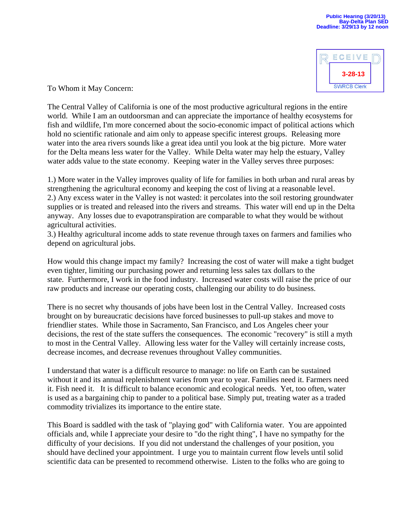

To Whom it May Concern:

The Central Valley of California is one of the most productive agricultural regions in the entire world. While I am an outdoorsman and can appreciate the importance of healthy ecosystems for fish and wildlife, I'm more concerned about the socio-economic impact of political actions which hold no scientific rationale and aim only to appease specific interest groups. Releasing more water into the area rivers sounds like a great idea until you look at the big picture. More water for the Delta means less water for the Valley. While Delta water may help the estuary, Valley water adds value to the state economy. Keeping water in the Valley serves three purposes:

1.) More water in the Valley improves quality of life for families in both urban and rural areas by strengthening the agricultural economy and keeping the cost of living at a reasonable level. 2.) Any excess water in the Valley is not wasted: it percolates into the soil restoring groundwater supplies or is treated and released into the rivers and streams. This water will end up in the Delta anyway. Any losses due to evapotranspiration are comparable to what they would be without agricultural activities.

3.) Healthy agricultural income adds to state revenue through taxes on farmers and families who depend on agricultural jobs.

How would this change impact my family? Increasing the cost of water will make a tight budget even tighter, limiting our purchasing power and returning less sales tax dollars to the state. Furthermore, I work in the food industry. Increased water costs will raise the price of our raw products and increase our operating costs, challenging our ability to do business.

There is no secret why thousands of jobs have been lost in the Central Valley. Increased costs brought on by bureaucratic decisions have forced businesses to pull-up stakes and move to friendlier states. While those in Sacramento, San Francisco, and Los Angeles cheer your decisions, the rest of the state suffers the consequences. The economic "recovery" is still a myth to most in the Central Valley. Allowing less water for the Valley will certainly increase costs, decrease incomes, and decrease revenues throughout Valley communities.

I understand that water is a difficult resource to manage: no life on Earth can be sustained without it and its annual replenishment varies from year to year. Families need it. Farmers need it. Fish need it. It is difficult to balance economic and ecological needs. Yet, too often, water is used as a bargaining chip to pander to a political base. Simply put, treating water as a traded commodity trivializes its importance to the entire state.

This Board is saddled with the task of "playing god" with California water. You are appointed officials and, while I appreciate your desire to "do the right thing", I have no sympathy for the difficulty of your decisions. If you did not understand the challenges of your position, you should have declined your appointment. I urge you to maintain current flow levels until solid scientific data can be presented to recommend otherwise. Listen to the folks who are going to